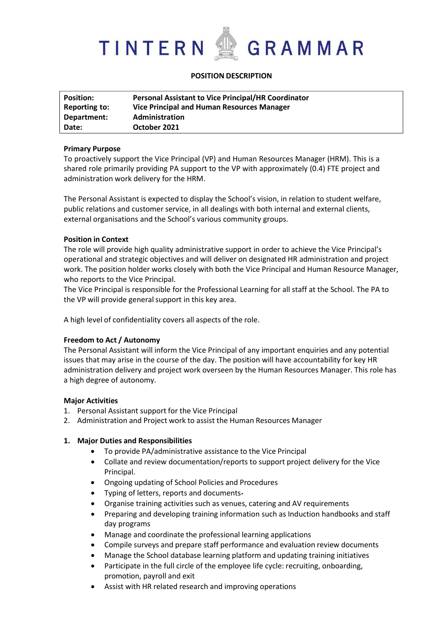

# **POSITION DESCRIPTION**

| <b>Position:</b> | <b>Personal Assistant to Vice Principal/HR Coordinator</b> |
|------------------|------------------------------------------------------------|
| Reporting to:    | Vice Principal and Human Resources Manager                 |
| Department:      | <b>Administration</b>                                      |
| Date:            | October 2021                                               |

## **Primary Purpose**

To proactively support the Vice Principal (VP) and Human Resources Manager (HRM). This is a shared role primarily providing PA support to the VP with approximately (0.4) FTE project and administration work delivery for the HRM.

The Personal Assistant is expected to display the School's vision, in relation to student welfare, public relations and customer service, in all dealings with both internal and external clients, external organisations and the School's various community groups.

## **Position in Context**

The role will provide high quality administrative support in order to achieve the Vice Principal's operational and strategic objectives and will deliver on designated HR administration and project work. The position holder works closely with both the Vice Principal and Human Resource Manager, who reports to the Vice Principal.

The Vice Principal is responsible for the Professional Learning for all staff at the School. The PA to the VP will provide general support in this key area.

A high level of confidentiality covers all aspects of the role.

# **Freedom to Act / Autonomy**

The Personal Assistant will inform the Vice Principal of any important enquiries and any potential issues that may arise in the course of the day. The position will have accountability for key HR administration delivery and project work overseen by the Human Resources Manager. This role has a high degree of autonomy.

## **Major Activities**

- 1. Personal Assistant support for the Vice Principal
- 2. Administration and Project work to assist the Human Resources Manager

## **1. Major Duties and Responsibilities**

- To provide PA/administrative assistance to the Vice Principal
- Collate and review documentation/reports to support project delivery for the Vice Principal.
- Ongoing updating of School Policies and Procedures
- Typing of letters, reports and documents
- Organise training activities such as venues, catering and AV requirements
- Preparing and developing training information such as Induction handbooks and staff day programs
- Manage and coordinate the professional learning applications
- Compile surveys and prepare staff performance and evaluation review documents
- Manage the School database learning platform and updating training initiatives
- Participate in the full circle of the employee life cycle: recruiting, onboarding, promotion, payroll and exit
- Assist with HR related research and improving operations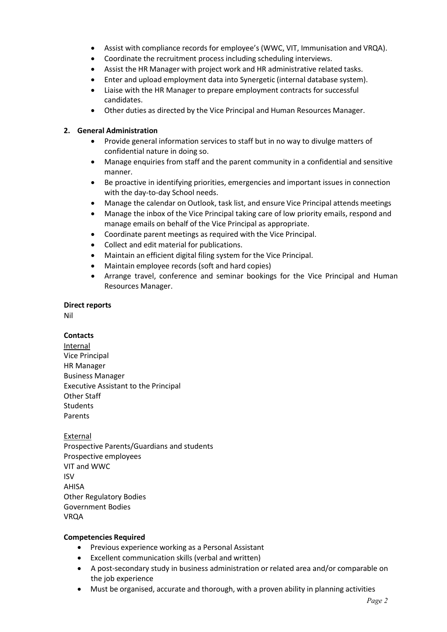- Assist with compliance records for employee's (WWC, VIT, Immunisation and VRQA).
- Coordinate the recruitment process including scheduling interviews.
- Assist the HR Manager with project work and HR administrative related tasks.
- Enter and upload employment data into Synergetic (internal database system).
- Liaise with the HR Manager to prepare employment contracts for successful candidates.
- Other duties as directed by the Vice Principal and Human Resources Manager.

# **2. General Administration**

- Provide general information services to staff but in no way to divulge matters of confidential nature in doing so.
- Manage enquiries from staff and the parent community in a confidential and sensitive manner.
- Be proactive in identifying priorities, emergencies and important issues in connection with the day-to-day School needs.
- Manage the calendar on Outlook, task list, and ensure Vice Principal attends meetings
- Manage the inbox of the Vice Principal taking care of low priority emails, respond and manage emails on behalf of the Vice Principal as appropriate.
- Coordinate parent meetings as required with the Vice Principal.
- Collect and edit material for publications.
- Maintain an efficient digital filing system for the Vice Principal.
- Maintain employee records (soft and hard copies)
- Arrange travel, conference and seminar bookings for the Vice Principal and Human Resources Manager.

# **Direct reports**

Nil

# **Contacts**

Internal Vice Principal HR Manager Business Manager Executive Assistant to the Principal Other Staff Students Parents

External Prospective Parents/Guardians and students Prospective employees VIT and WWC ISV AHISA Other Regulatory Bodies Government Bodies VRQA

# **Competencies Required**

- Previous experience working as a Personal Assistant
- Excellent communication skills (verbal and written)
- A post-secondary study in business administration or related area and/or comparable on the job experience
- Must be organised, accurate and thorough, with a proven ability in planning activities